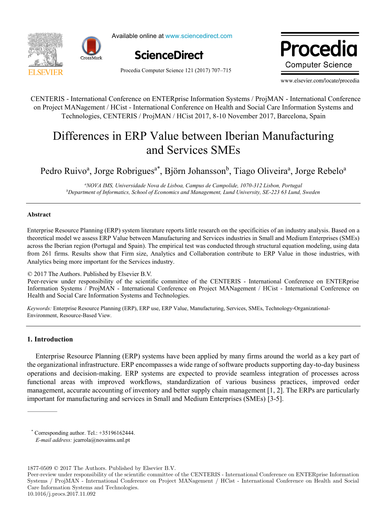



Available online at www.sciencedirect.com



Procedia Computer Science 121 (2017) 707–715



www.elsevier.com/locate/procedia

CENTERIS - International Conference on ENTERprise Information Systems / ProjMAN - International Conference on Project MANagement / HCist - International Conference on Health and Social Care Information Systems and Technologies, CENTERIS / ProjMAN / HCist 2017, 8-10 November 2017, Barcelona, Spain

# Differences in ERP Value between Iberian Manufacturing value between loc Differences in ERP Value between Iberian Manufacturing and Services SMEs

Pedro Ruivoa , Jorge Robriguesa\* , Björn Johanssonb , Tiago Oliveiraa , Jorge Rebeloa *NOVA IMS, Universidade Nova de Lisboa, Campus de Campolide, 1070-312 Lisbon, Portugal* Pedro Ruivo<sup>a</sup>, Jorge Robrigues<sup>a\*</sup>, Björn Johansson<sup>b</sup>, Tiago Oliveira<sup>a</sup>, Jorge Rebelo<sup>a</sup>

<sup>a</sup>NOVA IMS, Universidade Nova de Lisboa, Campus de Campolide, 1070-312 Lisbon, Portugal *b Department of Informatics, School of Economics and Management, Lund University, SE-223 63 Lund, Sweden*

### **Abstract**

Enterprise Resource Planning (ERP) system literature reports little research on the specificities of an industry analysis. Based on a theoretical model we assess ERP Value between Manufacturing and Services industries in Small and Medium Enterprises (SMEs) across the Iberian region (Portugal and Spain). The empirical test was conducted through structural equation modeling, using data theoretical model we assess ERP Value between Manufacturing and Services industries in Small and Medium Enterprises (SMEs)<br>across the Iberian region (Portugal and Spain). The empirical test was conducted through structural Analytics being more important for the Services industry.

© 2017 The Authors. Published by Elsevier B.V. © 2017 The Authors. Published by Elsevier B.V.

Peer-review under responsibility of the scientific committee of the CENTERIS - International Conference on ENTERprise Information Systems / ProjMAN - International Conference on Project MANagement / HCist - International Conference on Health and Social Care Information Systems and Technologies.  $\mathcal{L}$  is a system system system system system system systems and Technologies.

*Keywords:* Enterprise Resource Planning (ERP), ERP use, ERP Value, Manufacturing, Services, SMEs, Technology-Organizational-Environment, Resource-Based View.<br> $E = R \cdot E$  use, ERP value, Services, Services, Services, Services, Services, Services, Services, Services, Services

# **1. Introduction**

Environment, Resource-Based View.

Enterprise Resource Planning (ERP) systems have been applied by many firms around the world as a key part of the organizational infrastructure. ERP encompasses a wide range of software products supporting day-to-day business operations and decision-making. ERP systems are expected to provide seamless integration of processes across functional areas with improved workflows, standardization of various business practices, improved order management, accurate accounting of inventory and better supply chain management [1, 2]. The ERPs are particularly important for manufacturing and services in Small and Medium Enterprises (SMEs) [3-5].

<sup>\*</sup> Corresponding author. Tel.: +35196162444. E-mail address: jcarrola@novaims.unl.pt

 $1877-0509$  © 2017 The Authors. Published by Elsevier B.V.

<sup>1877-0509 © 2017</sup> The Authors. Published by Elsevier B.V.<br>Peer-review under responsibility of the scientific committee of the CENTERIS - International Conference on ENTERprise Information Systems / ProjMAN - International Conference on Project MANagement / HCist - International Conference on ERVIER and Social Care Information Systems and Technologies. and Technologies. 10.1016/j.procs.2017.11.092 Peer-review unde  $P_{\text{P}}(P_{\text{P}}(T) = P_{\text{P}}(T)$  is the scientific committee of the scientific committee on  $P_{\text{P}}(T)$  is a system of the conference of the  $P_{\text{P}}(T)$  is a system of the systems  $T$  is a system of the systems of the sy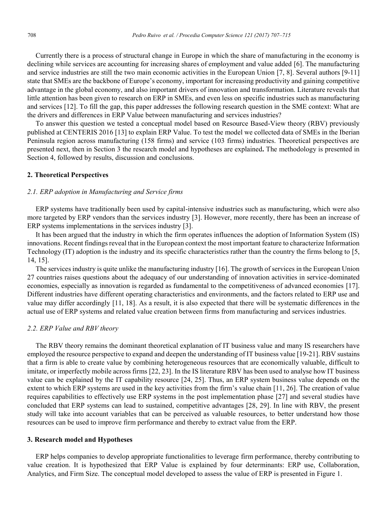Currently there is a process of structural change in Europe in which the share of manufacturing in the economy is declining while services are accounting for increasing shares of employment and value added [6]. The manufacturing and service industries are still the two main economic activities in the European Union [7, 8]. Several authors [9-11] state that SMEs are the backbone of Europe's economy, important for increasing productivity and gaining competitive advantage in the global economy, and also important drivers of innovation and transformation. Literature reveals that little attention has been given to research on ERP in SMEs, and even less on specific industries such as manufacturing and services [12]. To fill the gap, this paper addresses the following research question in the SME context: What are the drivers and differences in ERP Value between manufacturing and services industries?

To answer this question we tested a conceptual model based on Resource Based-View theory (RBV) previously published at CENTERIS 2016 [13] to explain ERP Value. To test the model we collected data of SMEs in the Iberian Peninsula region across manufacturing (158 firms) and service (103 firms) industries. Theoretical perspectives are presented next, then in Section 3 the research model and hypotheses are explained**.** The methodology is presented in Section 4, followed by results, discussion and conclusions.

## **2. Theoretical Perspectives**

## *2.1. ERP adoption in Manufacturing and Service firms*

ERP systems have traditionally been used by capital-intensive industries such as manufacturing, which were also more targeted by ERP vendors than the services industry [3]. However, more recently, there has been an increase of ERP systems implementations in the services industry [3].

It has been argued that the industry in which the firm operates influences the adoption of Information System (IS) innovations. Recent findings reveal that in the European context the most important feature to characterize Information Technology (IT) adoption is the industry and its specific characteristics rather than the country the firms belong to [5, 14, 15].

The services industry is quite unlike the manufacturing industry [16]. The growth of services in the European Union 27 countries raises questions about the adequacy of our understanding of innovation activities in service-dominated economies, especially as innovation is regarded as fundamental to the competitiveness of advanced economies [17]. Different industries have different operating characteristics and environments, and the factors related to ERP use and value may differ accordingly [11, 18]. As a result, it is also expected that there will be systematic differences in the actual use of ERP systems and related value creation between firms from manufacturing and services industries.

### *2.2. ERP Value and RBV theory*

The RBV theory remains the dominant theoretical explanation of IT business value and many IS researchers have employed the resource perspective to expand and deepen the understanding of IT business value [19-21]. RBV sustains that a firm is able to create value by combining heterogeneous resources that are economically valuable, difficult to imitate, or imperfectly mobile across firms [22, 23]. In the IS literature RBV has been used to analyse how IT business value can be explained by the IT capability resource [24, 25]. Thus, an ERP system business value depends on the extent to which ERP systems are used in the key activities from the firm's value chain [11, 26]. The creation of value requires capabilities to effectively use ERP systems in the post implementation phase [27] and several studies have concluded that ERP systems can lead to sustained, competitive advantages [28, 29]. In line with RBV, the present study will take into account variables that can be perceived as valuable resources, to better understand how those resources can be used to improve firm performance and thereby to extract value from the ERP.

#### **3. Research model and Hypotheses**

ERP helps companies to develop appropriate functionalities to leverage firm performance, thereby contributing to value creation. It is hypothesized that ERP Value is explained by four determinants: ERP use, Collaboration, Analytics, and Firm Size. The conceptual model developed to assess the value of ERP is presented in Figure 1.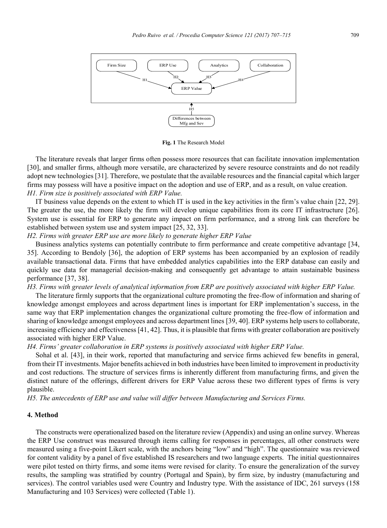

**Fig. 1** The Research Model

The literature reveals that larger firms often possess more resources that can facilitate innovation implementation [30], and smaller firms, although more versatile, are characterized by severe resource constraints and do not readily adopt new technologies [31]. Therefore, we postulate that the available resources and the financial capital which larger firms may possess will have a positive impact on the adoption and use of ERP, and as a result, on value creation. *H1. Firm size is positively associated with ERP Value.*

IT business value depends on the extent to which IT is used in the key activities in the firm's value chain [22, 29]. The greater the use, the more likely the firm will develop unique capabilities from its core IT infrastructure [26]. System use is essential for ERP to generate any impact on firm performance, and a strong link can therefore be established between system use and system impact [25, 32, 33].

# *H2. Firms with greater ERP use are more likely to generate higher ERP Value*

Business analytics systems can potentially contribute to firm performance and create competitive advantage [34, 35]. According to Bendoly [36], the adoption of ERP systems has been accompanied by an explosion of readily available transactional data. Firms that have embedded analytics capabilities into the ERP database can easily and quickly use data for managerial decision-making and consequently get advantage to attain sustainable business performance [37, 38].

*H3. Firms with greater levels of analytical information from ERP are positively associated with higher ERP Value.*

The literature firmly supports that the organizational culture promoting the free-flow of information and sharing of knowledge amongst employees and across department lines is important for ERP implementation's success, in the same way that ERP implementation changes the organizational culture promoting the free-flow of information and sharing of knowledge amongst employees and across department lines [39, 40]. ERP systems help users to collaborate, increasing efficiency and effectiveness [41, 42]. Thus, it is plausible that firms with greater collaboration are positively associated with higher ERP Value.

*H4. Firms' greater collaboration in ERP systems is positively associated with higher ERP Value.*

Sohal et al. [43], in their work, reported that manufacturing and service firms achieved few benefits in general, from their IT investments. Major benefits achieved in both industries have been limited to improvement in productivity and cost reductions. The structure of services firms is inherently different from manufacturing firms, and given the distinct nature of the offerings, different drivers for ERP Value across these two different types of firms is very plausible.

*H5. The antecedents of ERP use and value will differ between Manufacturing and Services Firms.* 

### **4. Method**

The constructs were operationalized based on the literature review (Appendix) and using an online survey. Whereas the ERP Use construct was measured through items calling for responses in percentages, all other constructs were measured using a five-point Likert scale, with the anchors being "low" and "high". The questionnaire was reviewed for content validity by a panel of five established IS researchers and two language experts. The initial questionnaires were pilot tested on thirty firms, and some items were revised for clarity. To ensure the generalization of the survey results, the sampling was stratified by country (Portugal and Spain), by firm size, by industry (manufacturing and services). The control variables used were Country and Industry type. With the assistance of IDC, 261 surveys (158) Manufacturing and 103 Services) were collected (Table 1).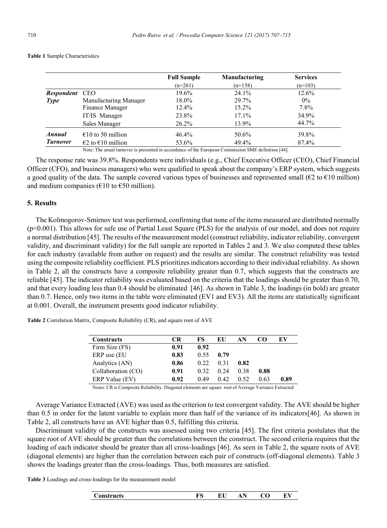|                   |                             | <b>Full Sample</b> | Manufacturing | <b>Services</b> |
|-------------------|-----------------------------|--------------------|---------------|-----------------|
|                   |                             | $(n=261)$          | $(n=158)$     | $(n=103)$       |
| <b>Respondent</b> | <b>CEO</b>                  | 19.6%              | 24.1%         | 12.6%           |
| Type              | Manufacturing Manager       | 18.0%              | 29.7%         | $0\%$           |
|                   | Finance Manager             | $12.4\%$           | 15.2%         | 7.8%            |
|                   | IT/IS Manager               | 23.8%              | 17.1%         | 34.9%           |
|                   | Sales Manager               | 26.2%              | 13.9%         | 44.7%           |
| Annual            | $\epsilon$ 10 to 50 million | $46.4\%$           | 50.6%         | 39.8%           |
| <b>Turnover</b>   | €2 to €10 million           | 53.6%              | 49.4%         | 87.4%           |

#### **Table 1** Sample Characteristics

Note: The anual turnover is presented in accordance of the European Commission SME definition [44].

The response rate was 39.8%. Respondents were individuals (e.g., Chief Executive Officer (CEO), Chief Financial Officer (CFO), and business managers) who were qualified to speak about the company's ERP system, which suggests a good quality of the data. The sample covered various types of businesses and represented small ( $\epsilon$ 2 to  $\epsilon$ 10 million) and medium companies ( $€10$  to  $€50$  million).

# **5. Results**

The Kolmogorov-Smirnov test was performed, confirming that none of the items measured are distributed normally (p<0.001). This allows for safe use of Partial Least Square (PLS) for the analysis of our model, and does not require a normal distribution [45]. The results of the measurement model (construct reliability, indicator reliability, convergent validity, and discriminant validity) for the full sample are reported in Tables 2 and 3. We also computed these tables for each industry (available from author on request) and the results are similar. The construct reliability was tested using the composite reliability coefficient. PLS prioritizes indicators according to their individual reliability. As shown in Table 2, all the constructs have a composite reliability greater than 0.7, which suggests that the constructs are reliable [45]. The indicator reliability was evaluated based on the criteria that the loadings should be greater than 0.70, and that every loading less than 0.4 should be eliminated [46]. As shown in Table 3, the loadings (in bold) are greater than 0.7. Hence, only two items in the table were eliminated (EV1 and EV3). All the items are statistically significant at 0.001. Overall, the instrument presents good indicator reliability.

**Table 2** Correlation Matrix, Composite Reliability (CR), and square root of AVE

| <b>Constructs</b>  | <b>CR</b> | FS   | EU   | AN   | CO   | EV   |
|--------------------|-----------|------|------|------|------|------|
| Firm Size (FS)     | 0.91      | 0.92 |      |      |      |      |
| ERP use (EU        | 0.83      | 0.55 | 0.79 |      |      |      |
| Analytics (AN)     | 0.86      | 0.22 | 0.31 | 0.82 |      |      |
| Collaboration (CO) | 0.91      | 0.32 | 0.24 | 0.38 | 0.88 |      |
| ERP Value (EV)     | 0.92      | 0.49 | 0.42 | 0.52 | 0.63 | 0.89 |

Notes: CR is Composite Reliability. Diagonal elements are square root of Average Variance Extracted

Average Variance Extracted (AVE) was used as the criterion to test convergent validity. The AVE should be higher than 0.5 in order for the latent variable to explain more than half of the variance of its indicators[46]. As shown in Table 2, all constructs have an AVE higher than 0.5, fulfilling this criteria.

Discriminant validity of the constructs was assessed using two criteria [45]. The first criteria postulates that the square root of AVE should be greater than the correlations between the construct. The second criteria requires that the loading of each indicator should be greater than all cross-loadings [46]. As seen in Table 2, the square roots of AVE (diagonal elements) are higher than the correlation between each pair of constructs (off-diagonal elements). Table 3 shows the loadings greater than the cross-loadings. Thus, both measures are satisfied.

**Table 3** Loadings and cross-loadings for the measurement model

| <b>Constructs</b> |  | n<br>л |  |
|-------------------|--|--------|--|
|                   |  |        |  |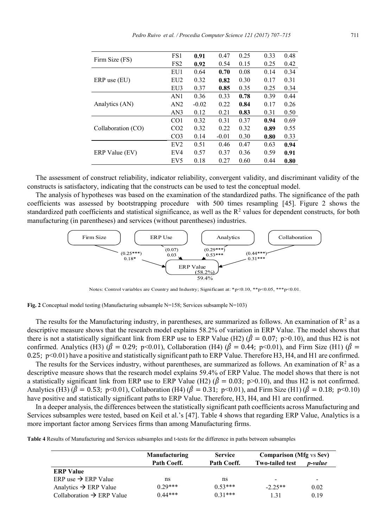| Firm Size (FS)     | FS1             | 0.91    | 0.47    | 0.25 | 0.33 | 0.48 |
|--------------------|-----------------|---------|---------|------|------|------|
|                    | FS <sub>2</sub> | 0.92    | 0.54    | 0.15 | 0.25 | 0.42 |
|                    | EU1             | 0.64    | 0.70    | 0.08 | 0.14 | 0.34 |
| ERP use (EU)       | EU <sub>2</sub> | 0.32    | 0.82    | 0.30 | 0.17 | 0.31 |
|                    | EU3             | 0.37    | 0.85    | 0.35 | 0.25 | 0.34 |
|                    | AN1             | 0.36    | 0.33    | 0.78 | 0.39 | 0.44 |
| Analytics (AN)     | AN2             | $-0.02$ | 0.22    | 0.84 | 0.17 | 0.26 |
|                    | AN3             | 0.12    | 0.21    | 0.83 | 0.31 | 0.50 |
|                    | CO <sub>1</sub> | 0.32    | 0.31    | 0.37 | 0.94 | 0.69 |
| Collaboration (CO) | CO <sub>2</sub> | 0.32    | 0.22    | 0.32 | 0.89 | 0.55 |
|                    | CO <sub>3</sub> | 0.14    | $-0.01$ | 0.30 | 0.80 | 0.33 |
|                    | EV <sub>2</sub> | 0.51    | 0.46    | 0.47 | 0.63 | 0.94 |
| ERP Value (EV)     | EV4             | 0.57    | 0.37    | 0.36 | 0.59 | 0.91 |
|                    | EV <sub>5</sub> | 0.18    | 0.27    | 0.60 | 0.44 | 0.80 |

The assessment of construct reliability, indicator reliability, convergent validity, and discriminant validity of the constructs is satisfactory, indicating that the constructs can be used to test the conceptual model.

The analysis of hypotheses was based on the examination of the standardized paths. The significance of the path coefficients was assessed by bootstrapping procedure with 500 times resampling [45]. Figure 2 shows the standardized path coefficients and statistical significance, as well as the  $R<sup>2</sup>$  values for dependent constructs, for both manufacturing (in parentheses) and services (without parentheses) industries.



Notes: Control variables are Country and Industry; Significant at: \*p<0.10, \*\*p<0.05, \*\*\*p<0.01.

**Fig. 2** Conceptual model testing (Manufacturing subsample N=158; Services subsample N=103)

The results for the Manufacturing industry, in parentheses, are summarized as follows. An examination of  $R^2$  as a descriptive measure shows that the research model explains 58.2% of variation in ERP Value. The model shows that there is not a statistically significant link from ERP use to ERP Value (H2) ( $\hat{\beta} = 0.07$ ; p>0.10), and thus H2 is not confirmed. Analytics (H3) ( $\hat{\beta} = 0.29$ ; p<0.01), Collaboration (H4) ( $\hat{\beta} = 0.44$ ; p<0.01), and Firm Size (H1) ( $\hat{\beta} =$ 0.25; p<0.01) have a positive and statistically significant path to ERP Value. Therefore H3, H4, and H1 are confirmed.

The results for the Services industry, without parentheses, are summarized as follows. An examination of  $\mathbb{R}^2$  as a descriptive measure shows that the research model explains 59.4% of ERP Value. The model shows that there is not a statistically significant link from ERP use to ERP Value (H2) ( $\hat{\beta} = 0.03$ ; p>0.10), and thus H2 is not confirmed. Analytics (H3) ( $\hat{\beta} = 0.53$ ; p<0.01), Collaboration (H4) ( $\hat{\beta} = 0.31$ ; p<0.01), and Firm Size (H1) ( $\hat{\beta} = 0.18$ ; p<0.10) have positive and statistically significant paths to ERP Value. Therefore, H3, H4, and H1 are confirmed.

In a deeper analysis, the differences between the statistically significant path coefficients across Manufacturing and Services subsamples were tested, based on Keil et al.'s [47]. Table 4 shows that regarding ERP Value, Analytics is a more important factor among Services firms than among Manufacturing firms.

**Table 4** Results of Manufacturing and Services subsamples and t-tests for the difference in paths between subsamples

|                                       | Manufacturing | <b>Service</b>     | <b>Comparison (Mfg vs Sev)</b> |                 |
|---------------------------------------|---------------|--------------------|--------------------------------|-----------------|
|                                       | Path Coeff.   | <b>Path Coeff.</b> | <b>Two-tailed test</b>         | <i>p</i> -value |
| <b>ERP</b> Value                      |               |                    |                                |                 |
| ERP use $\rightarrow$ ERP Value       | ns            | ns                 | $\overline{\phantom{0}}$       | -               |
| Analytics $\rightarrow$ ERP Value     | $0.29***$     | $0.53***$          | $-2.25**$                      | 0.02            |
| Collaboration $\rightarrow$ ERP Value | $0.44***$     | $0.31***$          | 1 3 1                          | 0.19            |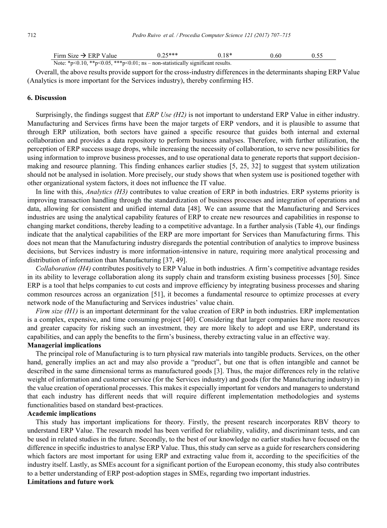| Firm Size $\rightarrow$ ERP Value                                                 | $0.25***$ | $0.18*$ | 0.60 | 0.55 |
|-----------------------------------------------------------------------------------|-----------|---------|------|------|
| Note: *p<0.10, **p<0.05, ***p<0.01; $ns$ – non-statistically significant results. |           |         |      |      |

Overall, the above results provide support for the cross-industry differences in the determinants shaping ERP Value (Analytics is more important for the Services industry), thereby confirming H5.

# **6. Discussion**

Surprisingly, the findings suggest that *ERP Use (H2)* is not important to understand ERP Value in either industry. Manufacturing and Services firms have been the major targets of ERP vendors, and it is plausible to assume that through ERP utilization, both sectors have gained a specific resource that guides both internal and external collaboration and provides a data repository to perform business analyses. Therefore, with further utilization, the perception of ERP success usage drops, while increasing the necessity of collaboration, to serve new possibilities for using information to improve business processes, and to use operational data to generate reports that support decisionmaking and resource planning. This finding enhances earlier studies [5, 25, 32] to suggest that system utilization should not be analysed in isolation. More precisely, our study shows that when system use is positioned together with other organizational system factors, it does not influence the IT value.

In line with this, *Analytics (H3)* contributes to value creation of ERP in both industries. ERP systems priority is improving transaction handling through the standardization of business processes and integration of operations and data, allowing for consistent and unified internal data [48]. We can assume that the Manufacturing and Services industries are using the analytical capability features of ERP to create new resources and capabilities in response to changing market conditions, thereby leading to a competitive advantage. In a further analysis (Table 4), our findings indicate that the analytical capabilities of the ERP are more important for Services than Manufacturing firms. This does not mean that the Manufacturing industry disregards the potential contribution of analytics to improve business decisions, but Services industry is more information-intensive in nature, requiring more analytical processing and distribution of information than Manufacturing [37, 49].

*Collaboration (H4)* contributes positively to ERP Value in both industries. A firm's competitive advantage resides in its ability to leverage collaboration along its supply chain and transform existing business processes [50]. Since ERP is a tool that helps companies to cut costs and improve efficiency by integrating business processes and sharing common resources across an organization [51], it becomes a fundamental resource to optimize processes at every network node of the Manufacturing and Services industries' value chain.

*Firm size (H1)* is an important determinant for the value creation of ERP in both industries. ERP implementation is a complex, expensive, and time consuming project [40]. Considering that larger companies have more resources and greater capacity for risking such an investment, they are more likely to adopt and use ERP, understand its capabilities, and can apply the benefits to the firm's business, thereby extracting value in an effective way.

# **Managerial implications**

The principal role of Manufacturing is to turn physical raw materials into tangible products. Services, on the other hand, generally implies an act and may also provide a "product", but one that is often intangible and cannot be described in the same dimensional terms as manufactured goods [3]. Thus, the major differences rely in the relative weight of information and customer service (for the Services industry) and goods (for the Manufacturing industry) in the value creation of operational processes. This makes it especially important for vendors and managers to understand that each industry has different needs that will require different implementation methodologies and systems functionalities based on standard best-practices.

## **Academic implications**

This study has important implications for theory. Firstly, the present research incorporates RBV theory to understand ERP Value. The research model has been verified for reliability, validity, and discriminant tests, and can be used in related studies in the future. Secondly, to the best of our knowledge no earlier studies have focused on the difference in specific industries to analyse ERP Value. Thus, this study can serve as a guide for researchers considering which factors are most important for using ERP and extracting value from it, according to the specificities of the industry itself. Lastly, as SMEs account for a significant portion of the European economy, this study also contributes to a better understanding of ERP post-adoption stages in SMEs, regarding two important industries. **Limitations and future work**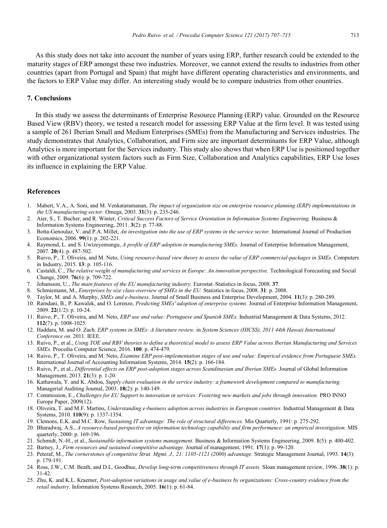As this study does not take into account the number of years using ERP, further research could be extended to the maturity stages of ERP amongst these two industries. Moreover, we cannot extend the results to industries from other countries (apart from Portugal and Spain) that might have different operating characteristics and environments, and the factors to ERP Value may differ. An interesting study would be to compare industries from other countries.

#### **7. Conclusions**

In this study we assess the determinants of Enterprise Resource Planning (ERP) value. Grounded on the Resource Based View (RBV) theory, we tested a research model for assessing ERP Value at the firm level. It was tested using a sample of 261 Iberian Small and Medium Enterprises (SMEs) from the Manufacturing and Services industries. The study demonstrates that Analytics, Collaboration, and Firm size are important determinants for ERP Value, although Analytics is more important for the Services industry. This study also shows that when ERP Use is positioned together with other organizational system factors such as Firm Size, Collaboration and Analytics capabilities, ERP Use loses its influence in explaining the ERP Value.

#### **References**

- 1. Mabert, V.A., A. Soni, and M. Venkataramanan, *The impact of organization size on enterprise resource planning (ERP) implementations in the US manufacturing sector.* Omega, 2003. **31**(3): p. 235-246.
- 2. Aier, S., T. Bucher, and R. Winter, *Critical Success Factors of Service Orientation in Information Systems Engineering.* Business & Information Systems Engineering, 2011. **3**(2): p. 77-88.
- 3. Botta-Genoulaz, V. and P.A. Millet, *An investigation into the use of ERP systems in the service sector.* International Journal of Production Economics, 2006. **99**(1): p. 202-221.
- 4. Raymond, L. and S. Uwizeyemungu, *A profile of ERP adoption in manufacturing SMEs.* Journal of Enterprise Information Management, 2007. **20**(4): p. 487-502.
- 5. Ruivo, P., T. Oliveira, and M. Neto, *Using resource-based view theory to assess the value of ERP commercial-packages in SMEs.* Computers in Industry, 2015. **13**: p. 105-116.
- 6. Castaldi, C., *The relative weight of manufacturing and services in Europe: An innovation perspective.* Technological Forecasting and Social Change, 2009. **76**(6): p. 709-722.
- 7. Johansson, U., *The main features of the EU manufacturing industry.* Eurostat–Statistics in focus, 2008. **37**.
- 8. Schmiemann, M., *Enterprises by size class-overview of SMEs in the EU.* Statistics in focus, 2008. **31**: p. 2008.
- 9. Taylor, M. and A. Murphy, *SMEs and e-business.* Journal of Small Business and Enterprise Development, 2004. **11**(3): p. 280-289.
- 10. Ramdani, B., P. Kawalek, and O. Lorenzo, *Predicting SMEs' adoption of enterprise systems.* Journal of Enterprise Information Management, 2009. **22**(1/2): p. 10-24.
- 11. Ruivo, P., T. Oliveira, and M. Neto, *ERP use and value: Portuguese and Spanish SMEs.* Industrial Management & Data Systems, 2012. **112**(7): p. 1008-1025.
- 12. Haddara, M. and O. Zach. *ERP systems in SMEs: A literature review*. in *System Sciences (HICSS), 2011 44th Hawaii International Conference on*. 2011. IEEE.
- 13. Ruivo, P., et al., *Using TOE and RBV theories to define a theoretical model to assess ERP Value across Iberian Manufacturing and Services SMEs.* Procedia Computer Science, 2016. **100**: p. 474-479.
- 14. Ruivo, P., T. Oliveira, and M. Neto, *Examine ERP post-implementation stages of use and value: Empirical evidence from Portuguese SMEs.* International Journal of Accounting Information Systems, 2014. **15**(2): p. 166-184.
- 15. Ruivo, P., et al., *Differential effects on ERP post-adoption stages across Scandinavian and Iberian SMEs.* Journal of Global Information Management, 2013. **21**(3): p. 1-20.
- 16. Kathawala, Y. and K. Abdou, *Supply chain evaluation in the service industry: a framework development compared to manufacturing.* Managerial Auditing Journal, 2003. **18**(2): p. 140-149.
- 17. Commission, E., *Challenges for EU Support to innovation in services: Fostering new markets and jobs through innovation.* PRO INNO Europe Paper, 2009(12).
- 18. Oliveira, T. and M.F. Martins, *Understanding e-business adoption across industries in European countries.* Industrial Management & Data Systems, 2010. **110**(9): p. 1337-1354.
- 19. Clemons, E.K. and M.C. Row, *Sustaining IT advantage: The role of structural differences.* Mis Quarterly, 1991: p. 275-292.
- 20. Bharadwaj, A.S., *A resource-based perspective on information technology capability and firm performance: an empirical investigation.* MIS quarterly, 2000: p. 169-196.
- 21. Schmidt, N.-H., et al., *Sustainable information systems management.* Business & Information Systems Engineering, 2009. **1**(5): p. 400-402.
- 22. Barney, J., *Firm resources and sustained competitive advantage.* Journal of management, 1991. **17**(1): p. 99-120.
- 23. Peteraf, M., *The cornerstones of competitive Strut. Mgmt. J., 21: 1105-1121 (2000) advantage.* Strategic Management Journal, 1993. **14**(3): p. 179-191.
- 24. Ross, J.W., C.M. Beath, and D.L. Goodhue, *Develop long-term competitiveness through IT assets.* Sloan management review, 1996. **38**(1): p. 31-42.
- 25. Zhu, K. and K.L. Kraemer, *Post-adoption variations in usage and value of e-business by organizations: Cross-country evidence from the retail industry.* Information Systems Research, 2005. **16**(1): p. 61-84.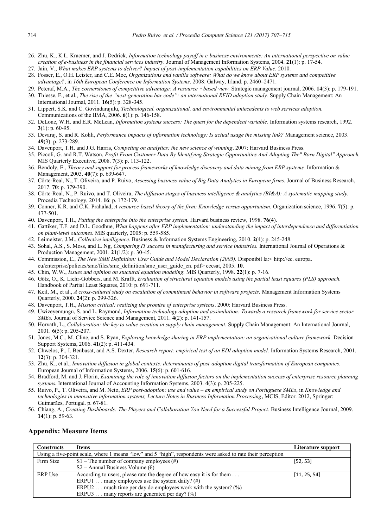- 26. Zhu, K., K.L. Kraemer, and J. Dedrick, *Information technology payoff in e-business environments: An international perspective on value creation of e-business in the financial services industry.* Journal of Management Information Systems, 2004. **21**(1): p. 17-54.
- 27. Jain, V., *What makes ERP systems to deliver? Impact of post-implementation capabilities on ERP Value.* 2010.
- 28. Fosser, E., O.H. Leister, and C.E. Moe, *Organizations and vanilla software: What do we know about ERP systems and competitive advantage?*, in *16th European Conference on Information Systems*. 2008: Galway, Irland. p. 2460–2471.
- 29. Peteraf, M.A., *The cornerstones of competitive advantage: A resource*‐*based view.* Strategic management journal, 2006. **14**(3): p. 179-191.
- 30. Thiesse, F., et al., *The rise of the "next-generation bar code": an international RFID adoption study.* Supply Chain Management: An International Journal, 2011. **16**(5): p. 328-345.
- 31. Lippert, S.K. and C. Govindarajulu, *Technological, organizational, and environmental antecedents to web services adoption.* Communications of the IIMA, 2006. **6**(1): p. 146-158.
- 32. DeLone, W.H. and E.R. McLean, *Information systems success: The quest for the dependent variable.* Information systems research, 1992. **3**(1): p. 60-95.
- 33. Devaraj, S. and R. Kohli, *Performance impacts of information technology: Is actual usage the missing link?* Management science, 2003. **49**(3): p. 273-289.
- 34. Davenport, T.H. and J.G. Harris, *Competing on analytics: the new science of winning*. 2007: Harvard Business Press.
- 35. Piccoli, G. and R.T. Watson, *Profit From Customer Data By Identifying Strategic Opportunities And Adopting The" Born Digital" Approach.* MIS Quarterly Executive, 2008. **7**(3): p. 113-122.
- 36. Bendoly, E., *Theory and support for process frameworks of knowledge discovery and data mining from ERP systems.* Information & Management, 2003. **40**(7): p. 639-647.
- 37. Côrte-Real, N., T. Oliveira, and P. Ruivo, *Assessing business value of Big Data Analytics in European firms.* Journal of Business Research, 2017. **70**: p. 379-390.
- 38. Côrte-Real, N., P. Ruivo, and T. Oliveira, *The diffusion stages of business intelligence & analytics (BI&A): A systematic mapping study.* Procedia Technology, 2014. **16**: p. 172-179.
- 39. Conner, K.R. and C.K. Prahalad, *A resource-based theory of the firm: Knowledge versus opportunism.* Organization science, 1996. **7**(5): p. 477-501.
- 40. Davenport, T.H., *Putting the enterprise into the enterprise system.* Harvard business review, 1998. **76**(4).
- 41. Gattiker, T.F. and D.L. Goodhue, *What happens after ERP implementation: understanding the impact of interdependence and differentiation on plant-level outcomes.* MIS quarterly, 2005: p. 559-585.
- 42. Leimeister, J.M., *Collective intelligence.* Business & Information Systems Engineering, 2010. **2**(4): p. 245-248.
- 43. Sohal, A.S., S. Moss, and L. Ng, *Comparing IT success in manufacturing and service industries.* International Journal of Operations & Production Management, 2001. **21**(1/2): p. 30-45.
- 44. Commission, E., *The New SME Definition: User Guide and Model Declaration (2005).* Disponibil la:< http://ec. europa. eu/enterprise/policies/sme/files/sme\_definition/sme\_user\_guide\_en. pdf> ccesat, 2005. **10**.
- 45. Chin, W.W., *Issues and opinion on stuctural equation modeling.* MIS Quarterly, 1998. **22**(1): p. 7-16.
- 46. Götz, O., K. Liehr-Gobbers, and M. Krafft, *Evaluation of structural equation models using the partial least squares (PLS) approach.* Handbook of Partial Least Squares, 2010: p. 691-711.
- 47. Keil, M., et al., *A cross-cultural study on escalation of commitment behavior in software projects.* Management Information Systems Quarterly, 2000. **24**(2): p. 299-326.
- 48. Davenport, T.H., *Mission critical: realizing the promise of enterprise systems*. 2000: Harvard Business Press.
- 49. Uwizeyemungu, S. and L. Raymond, *Information technology adoption and assimilation: Towards a research framework for service sector SMEs.* Journal of Service Science and Management, 2011. **4**(2): p. 141-157.
- 50. Horvath, L., *Collaboration: the key to value creation in supply chain management.* Supply Chain Management: An International Journal, 2001. **6**(5): p. 205-207.
- 51. Jones, M.C., M. Cline, and S. Ryan, *Exploring knowledge sharing in ERP implementation: an organizational culture framework.* Decision Support Systems, 2006. **41**(2): p. 411-434.
- 52. Chwelos, P., I. Benbasat, and A.S. Dexter, *Research report: empirical test of an EDI adoption model.* Information Systems Research, 2001. **12**(3): p. 304-321.
- 53. Zhu, K., et al., *Innovation diffusion in global contexts: determinants of post-adoption digital transformation of European companies.* European Journal of Information Systems, 2006. **15**(6): p. 601-616.
- 54. Bradford, M. and J. Florin, *Examining the role of innovation diffusion factors on the implementation success of enterprise resource planning systems.* International Journal of Accounting Information Systems, 2003. **4**(3): p. 205-225.
- 55. Ruivo, P., T. Oliveira, and M. Neto, *ERP post-adoption: use and value – an empirical study on Portuguese SMEs*, in *Knowledge and technologies in innovative information systems, Lecture Notes in Business Information Processing*, MCIS, Editor. 2012, Springer: Guimarães, Portugal. p. 67-81.
- 56. Chiang, A., *Creating Dashboards: The Players and Collaboration You Need for a Successful Project.* Business Intelligence Journal, 2009. **14**(1): p. 59-63.

#### **Appendix: Measure Items**

| <b>Constructs</b> | Items                                                                                                       | Literature support |  |  |  |
|-------------------|-------------------------------------------------------------------------------------------------------------|--------------------|--|--|--|
|                   | Using a five-point scale, where 1 means "low" and 5 "high", respondents were asked to rate their perception |                    |  |  |  |
| Firm Size         | $S1$ – The number of company employees (#)                                                                  | [52, 53]           |  |  |  |
|                   | S2 – Annual Business Volume $(\epsilon)$                                                                    |                    |  |  |  |
| ERP Use           | According to users, please rate the degree of how easy it is for them                                       | [11, 25, 54]       |  |  |  |
|                   | ERPU1 many employees use the system daily? (#)                                                              |                    |  |  |  |
|                   | ERPU2 much time per day do employees work with the system? $(\%)$                                           |                    |  |  |  |
|                   | ERPU3 many reports are generated per day? $(\%)$                                                            |                    |  |  |  |